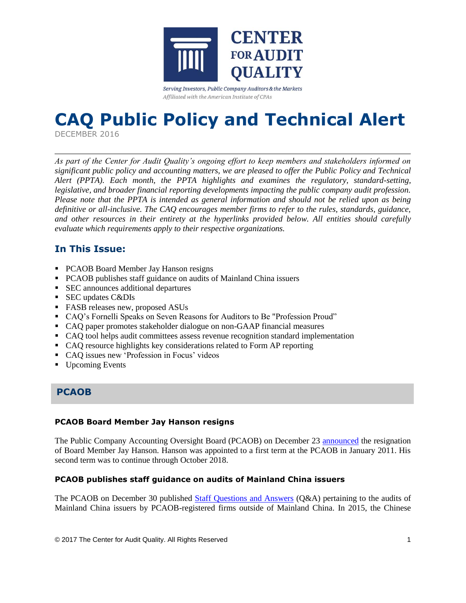

Serving Investors, Public Company Auditors & the Markets Affiliated with the American Institute of CPAs

# **CAQ Public Policy and Technical Alert**

DECEMBER 2016

*As part of the Center for Audit Quality's ongoing effort to keep members and stakeholders informed on significant public policy and accounting matters, we are pleased to offer the Public Policy and Technical Alert (PPTA). Each month, the PPTA highlights and examines the regulatory, standard-setting, legislative, and broader financial reporting developments impacting the public company audit profession. Please note that the PPTA is intended as general information and should not be relied upon as being definitive or all-inclusive. The CAQ encourages member firms to refer to the rules, standards, guidance, and other resources in their entirety at the hyperlinks provided below. All entities should carefully evaluate which requirements apply to their respective organizations.*

## **In This Issue:**

- PCAOB Board Member Jay Hanson resigns
- PCAOB publishes staff guidance on audits of Mainland China issuers
- SEC announces additional departures
- SEC updates C&DIs
- FASB releases new, proposed ASUs
- CAQ's Fornelli Speaks on Seven Reasons for Auditors to Be "Profession Proud"
- CAQ paper promotes stakeholder dialogue on non-GAAP financial measures
- CAQ tool helps audit committees assess revenue recognition standard implementation
- CAQ resource highlights key considerations related to Form AP reporting
- CAQ issues new 'Profession in Focus' videos
- Upcoming Events

## **PCAOB**

## **PCAOB Board Member Jay Hanson resigns**

The Public Company Accounting Oversight Board (PCAOB) on December 23 [announced](https://pcaobus.org/News/Releases/Pages/PCAOB-released-the-following-statement.aspx) the resignation of Board Member Jay Hanson. Hanson was appointed to a first term at the PCAOB in January 2011. His second term was to continue through October 2018.

## **PCAOB publishes staff guidance on audits of Mainland China issuers**

The PCAOB on December 30 published [Staff Questions and Answers](https://pcaobus.org/Inspections/Documents/PCAOB%20Staff%20QA%20on%20MOF%20rule.pdf) (Q&A) pertaining to the audits of Mainland China issuers by PCAOB-registered firms outside of Mainland China. In 2015, the Chinese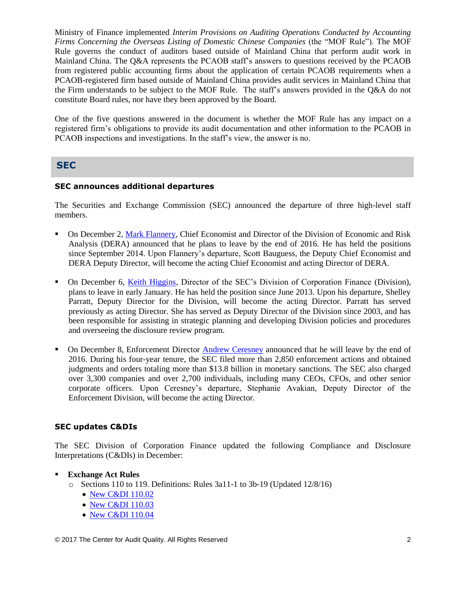Ministry of Finance implemented *Interim Provisions on Auditing Operations Conducted by Accounting Firms Concerning the Overseas Listing of Domestic Chinese Companies* (the "MOF Rule"). The MOF Rule governs the conduct of auditors based outside of Mainland China that perform audit work in Mainland China. The Q&A represents the PCAOB staff's answers to questions received by the PCAOB from registered public accounting firms about the application of certain PCAOB requirements when a PCAOB-registered firm based outside of Mainland China provides audit services in Mainland China that the Firm understands to be subject to the MOF Rule. The staff's answers provided in the Q&A do not constitute Board rules, nor have they been approved by the Board.

One of the five questions answered in the document is whether the MOF Rule has any impact on a registered firm's obligations to provide its audit documentation and other information to the PCAOB in PCAOB inspections and investigations. In the staff's view, the answer is no.

## **SEC**

## **SEC announces additional departures**

The Securities and Exchange Commission (SEC) announced the departure of three high-level staff members.

- On December 2, [Mark Flannery,](https://www.sec.gov/news/pressrelease/2016-254.html) Chief Economist and Director of the Division of Economic and Risk Analysis (DERA) announced that he plans to leave by the end of 2016. He has held the positions since September 2014. Upon Flannery's departure, Scott Bauguess, the Deputy Chief Economist and DERA Deputy Director, will become the acting Chief Economist and acting Director of DERA.
- On December 6, [Keith Higgins,](https://www.sec.gov/news/pressrelease/2016-258.html) Director of the SEC's Division of Corporation Finance (Division), plans to leave in early January. He has held the position since June 2013. Upon his departure, Shelley Parratt, Deputy Director for the Division, will become the acting Director. Parratt has served previously as acting Director. She has served as Deputy Director of the Division since 2003, and has been responsible for assisting in strategic planning and developing Division policies and procedures and overseeing the disclosure review program.
- On December 8, Enforcement Director [Andrew Ceresney](https://www.sec.gov/news/pressrelease/2016-259.html) announced that he will leave by the end of 2016. During his four-year tenure, the SEC filed more than 2,850 enforcement actions and obtained judgments and orders totaling more than \$13.8 billion in monetary sanctions. The SEC also charged over 3,300 companies and over 2,700 individuals, including many CEOs, CFOs, and other senior corporate officers. Upon Ceresney's departure, Stephanie Avakian, Deputy Director of the Enforcement Division, will become the acting Director.

### **SEC updates C&DIs**

The SEC Division of Corporation Finance updated the following Compliance and Disclosure Interpretations (C&DIs) in December:

- **Exchange Act Rules**
	- o Sections 110 to 119. Definitions: Rules 3a11-1 to 3b-19 (Updated 12/8/16)
		- [New C&DI 110.02](https://www.sec.gov/divisions/corpfin/guidance/exchangeactrules-interps.htm#110.02)
		- [New C&DI 110.03](https://www.sec.gov/divisions/corpfin/guidance/exchangeactrules-interps.htm#110.03)
		- [New C&DI 110.04](https://www.sec.gov/divisions/corpfin/guidance/exchangeactrules-interps.htm#110.04)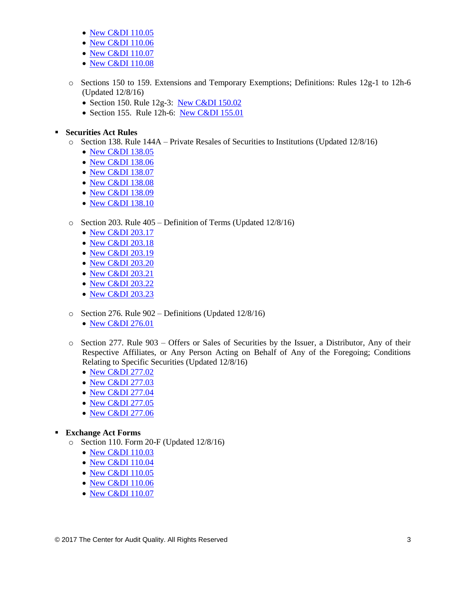- [New C&DI 110.05](https://www.sec.gov/divisions/corpfin/guidance/exchangeactrules-interps.htm#110.05)
- [New C&DI 110.06](https://www.sec.gov/divisions/corpfin/guidance/exchangeactrules-interps.htm#110.06)
- [New C&DI 110.07](https://www.sec.gov/divisions/corpfin/guidance/exchangeactrules-interps.htm#110.07)
- [New C&DI 110.08](https://www.sec.gov/divisions/corpfin/guidance/exchangeactrules-interps.htm#110.08)
- o Sections 150 to 159. Extensions and Temporary Exemptions; Definitions: Rules 12g-1 to 12h-6 (Updated 12/8/16)
	- Section 150. Rule 12g-3: [New C&DI 150.02](https://www.sec.gov/divisions/corpfin/guidance/exchangeactrules-interps.htm#150.02)
	- Section 155. Rule 12h-6: [New C&DI 155.01](https://www.sec.gov/divisions/corpfin/guidance/exchangeactrules-interps.htm#155.01)

**Securities Act Rules**

- o Section 138. Rule 144A Private Resales of Securities to Institutions (Updated 12/8/16)
	- [New C&DI 138.05](https://www.sec.gov/divisions/corpfin/guidance/securitiesactrules-interps.htm#138.05)
	- [New C&DI 138.06](https://www.sec.gov/divisions/corpfin/guidance/securitiesactrules-interps.htm#138.06)
	- [New C&DI 138.07](https://www.sec.gov/divisions/corpfin/guidance/securitiesactrules-interps.htm#138.07)
	- [New C&DI 138.08](https://www.sec.gov/divisions/corpfin/guidance/securitiesactrules-interps.htm#138.08)
	- [New C&DI 138.09](https://www.sec.gov/divisions/corpfin/guidance/securitiesactrules-interps.htm#138.09)
	- [New C&DI 138.10](https://www.sec.gov/divisions/corpfin/guidance/securitiesactrules-interps.htm#138.10)

## o Section 203. Rule 405 – Definition of Terms (Updated 12/8/16)

- [New C&DI 203.17](https://www.sec.gov/divisions/corpfin/guidance/securitiesactrules-interps.htm#203.17)
- [New C&DI 203.18](https://www.sec.gov/divisions/corpfin/guidance/securitiesactrules-interps.htm#203.18)
- [New C&DI 203.19](https://www.sec.gov/divisions/corpfin/guidance/securitiesactrules-interps.htm#203.19)
- [New C&DI 203.20](https://www.sec.gov/divisions/corpfin/guidance/securitiesactrules-interps.htm#203.20)
- [New C&DI 203.21](https://www.sec.gov/divisions/corpfin/guidance/securitiesactrules-interps.htm#203.21)
- [New C&DI 203.22](https://www.sec.gov/divisions/corpfin/guidance/securitiesactrules-interps.htm#203.22)
- [New C&DI 203.23](https://www.sec.gov/divisions/corpfin/guidance/securitiesactrules-interps.htm#203.23)
- o Section 276. Rule 902 Definitions (Updated 12/8/16) • [New C&DI 276.01](https://www.sec.gov/divisions/corpfin/guidance/securitiesactrules-interps.htm#276.01)
- o Section 277. Rule 903 Offers or Sales of Securities by the Issuer, a Distributor, Any of their Respective Affiliates, or Any Person Acting on Behalf of Any of the Foregoing; Conditions Relating to Specific Securities (Updated 12/8/16)
	- [New C&DI 277.02](https://www.sec.gov/divisions/corpfin/guidance/securitiesactrules-interps.htm#277.02)
	- [New C&DI 277.03](https://www.sec.gov/divisions/corpfin/guidance/securitiesactrules-interps.htm#277.03)
	- [New C&DI 277.04](https://www.sec.gov/divisions/corpfin/guidance/securitiesactrules-interps.htm#277.04)
	- [New C&DI 277.05](https://www.sec.gov/divisions/corpfin/guidance/securitiesactrules-interps.htm#277.05)
	- [New C&DI 277.06](https://www.sec.gov/divisions/corpfin/guidance/securitiesactrules-interps.htm#277.06)

### **Exchange Act Forms**

- o Section 110. Form 20-F (Updated 12/8/16)
	- [New C&DI 110.03](https://www.sec.gov/divisions/corpfin/guidance/exchangeactforms-interps.htm#110.03)
	- [New C&DI 110.04](https://www.sec.gov/divisions/corpfin/guidance/exchangeactforms-interps.htm#110.04)
	- [New C&DI 110.05](https://www.sec.gov/divisions/corpfin/guidance/exchangeactforms-interps.htm#110.05)
	- [New C&DI 110.06](https://www.sec.gov/divisions/corpfin/guidance/exchangeactforms-interps.htm#110.06)
	- [New C&DI 110.07](https://www.sec.gov/divisions/corpfin/guidance/exchangeactforms-interps.htm#110.07)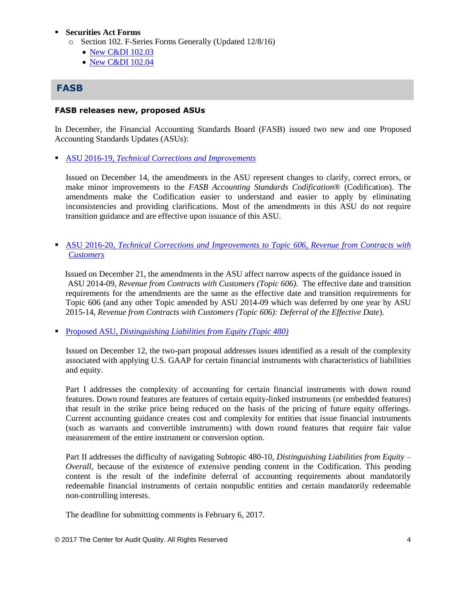### **Securities Act Forms**

- o Section 102. F-Series Forms Generally (Updated 12/8/16)
	- [New C&DI 102.03](https://www.sec.gov/divisions/corpfin/guidance/safinterp.htm#102.03)
	- [New C&DI 102.04](https://www.sec.gov/divisions/corpfin/guidance/safinterp.htm#102.04)

## **FASB**

#### **FASB releases new, proposed ASUs**

In December, the Financial Accounting Standards Board (FASB) issued two new and one Proposed Accounting Standards Updates (ASUs):

ASU 2016-19, *[Technical Corrections and Improvements](http://fasb.org/jsp/FASB/Document_C/DocumentPage?cid=1176168696420&acceptedDisclaimer=true)*

Issued on December 14, the amendments in the ASU represent changes to clarify, correct errors, or make minor improvements to the *FASB Accounting Standards Codification*® (Codification). The amendments make the Codification easier to understand and easier to apply by eliminating inconsistencies and providing clarifications. Most of the amendments in this ASU do not require transition guidance and are effective upon issuance of this ASU.

 ASU 2016-20, *[Technical Corrections and Improvements to Topic 606, Revenue from Contracts with](http://fasb.org/jsp/FASB/Document_C/DocumentPage?cid=1176168723765&acceptedDisclaimer=true)  [Customers](http://fasb.org/jsp/FASB/Document_C/DocumentPage?cid=1176168723765&acceptedDisclaimer=true)*

Issued on December 21, the amendments in the ASU affect narrow aspects of the guidance issued in ASU 2014-09, *Revenue from Contracts with Customers (Topic 606)*. The effective date and transition requirements for the amendments are the same as the effective date and transition requirements for Topic 606 (and any other Topic amended by ASU 2014-09 which was deferred by one year by ASU 2015-14, *Revenue from Contracts with Customers (Topic 606): Deferral of the Effective Date*).

Proposed ASU, *[Distinguishing Liabilities from Equity \(Topic 480\)](http://www.fasb.org/jsp/FASB/Document_C/DocumentPage?cid=1176168661829&acceptedDisclaimer=true)*

Issued on December 12, the two-part proposal addresses issues identified as a result of the complexity associated with applying U.S. GAAP for certain financial instruments with characteristics of liabilities and equity.

Part I addresses the complexity of accounting for certain financial instruments with down round features. Down round features are features of certain equity-linked instruments (or embedded features) that result in the strike price being reduced on the basis of the pricing of future equity offerings. Current accounting guidance creates cost and complexity for entities that issue financial instruments (such as warrants and convertible instruments) with down round features that require fair value measurement of the entire instrument or conversion option.

Part II addresses the difficulty of navigating Subtopic 480-10, *Distinguishing Liabilities from Equity – Overall*, because of the existence of extensive pending content in the Codification. This pending content is the result of the indefinite deferral of accounting requirements about mandatorily redeemable financial instruments of certain nonpublic entities and certain mandatorily redeemable non-controlling interests.

The deadline for submitting comments is February 6, 2017.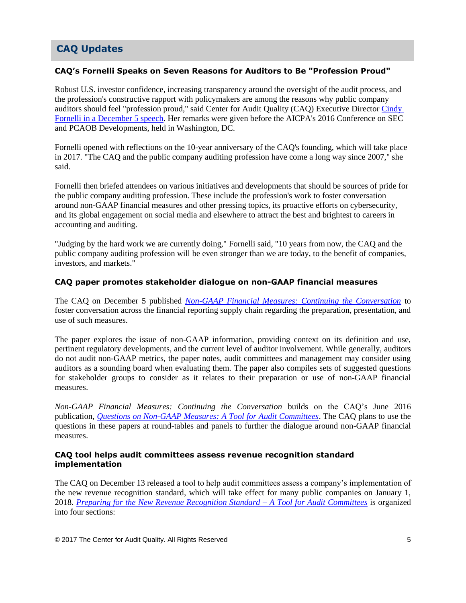# **CAQ Updates**

## **CAQ's Fornelli Speaks on Seven Reasons for Auditors to Be "Profession Proud"**

Robust U.S. investor confidence, increasing transparency around the oversight of the audit process, and the profession's constructive rapport with policymakers are among the reasons why public company auditors should feel "profession proud," said Center for Audit Quality (CAQ) Executive Director Cindy [Fornelli in a December 5 speech.](http://www.thecaq.org/center-audit-quality-update-profession-proud) Her remarks were given before the AICPA's 2016 Conference on SEC and PCAOB Developments, held in Washington, DC.

Fornelli opened with reflections on the 10-year anniversary of the CAQ's founding, which will take place in 2017. "The CAQ and the public company auditing profession have come a long way since 2007," she said.

Fornelli then briefed attendees on various initiatives and developments that should be sources of pride for the public company auditing profession. These include the profession's work to foster conversation around non-GAAP financial measures and other pressing topics, its proactive efforts on cybersecurity, and its global engagement on social media and elsewhere to attract the best and brightest to careers in accounting and auditing.

"Judging by the hard work we are currently doing," Fornelli said, "10 years from now, the CAQ and the public company auditing profession will be even stronger than we are today, to the benefit of companies, investors, and markets."

### **CAQ paper promotes stakeholder dialogue on non-GAAP financial measures**

The CAQ on December 5 published *[Non-GAAP Financial Measures: Continuing the Conversation](http://www.thecaq.org/non-gaap-financial-measures-continuing-conversation)* to foster conversation across the financial reporting supply chain regarding the preparation, presentation, and use of such measures.

The paper explores the issue of non-GAAP information, providing context on its definition and use, pertinent regulatory developments, and the current level of auditor involvement. While generally, auditors do not audit non-GAAP metrics, the paper notes, audit committees and management may consider using auditors as a sounding board when evaluating them. The paper also compiles sets of suggested questions for stakeholder groups to consider as it relates to their preparation or use of non-GAAP financial measures.

*Non-GAAP Financial Measures: Continuing the Conversation* builds on the CAQ's June 2016 publication, *[Questions on Non-GAAP Measures: A Tool for Audit Committees](http://www.thecaq.org/questions-non-gaap-measures-tool-audit-committees)*. The CAQ plans to use the questions in these papers at round-tables and panels to further the dialogue around non-GAAP financial measures.

#### **CAQ tool helps audit committees assess revenue recognition standard implementation**

The CAQ on December 13 released a tool to help audit committees assess a company's implementation of the new revenue recognition standard, which will take effect for many public companies on January 1, 2018. *[Preparing for the New Revenue Recognition Standard](http://thecaq.org/preparing-new-revenue-recognition-standard-tool-audit-committees)* – *A Tool for Audit Committees* is organized into four sections: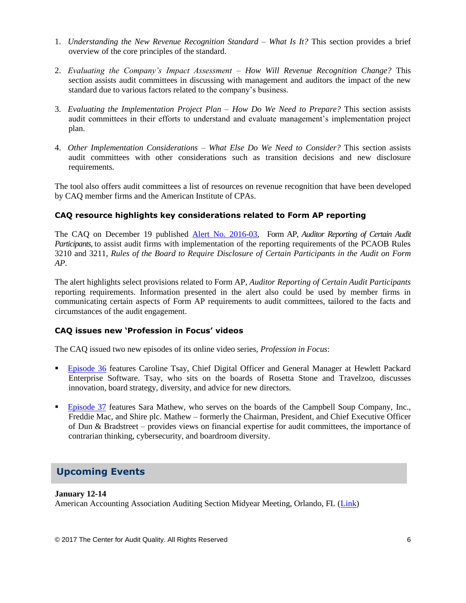- 1. *Understanding the New Revenue Recognition Standard – What Is It?* This section provides a brief overview of the core principles of the standard.
- 2. *Evaluating the Company's Impact Assessment – How Will Revenue Recognition Change?* This section assists audit committees in discussing with management and auditors the impact of the new standard due to various factors related to the company's business.
- 3. *Evaluating the Implementation Project Plan – How Do We Need to Prepare?* This section assists audit committees in their efforts to understand and evaluate management's implementation project plan.
- 4. *Other Implementation Considerations – What Else Do We Need to Consider?* This section assists audit committees with other considerations such as transition decisions and new disclosure requirements.

The tool also offers audit committees a list of resources on revenue recognition that have been developed by CAQ member firms and the American Institute of CPAs.

## **CAQ resource highlights key considerations related to Form AP reporting**

The CAQ on December 19 published [Alert No. 2016-03,](http://thecaq.org/caq-alert-2016-03-form-ap-auditor-reporting-certain-audit-participants) Form AP, *Auditor Reporting of Certain Audit Participants,* to assist audit firms with implementation of the reporting requirements of the PCAOB Rules 3210 and 3211, *Rules of the Board to Require Disclosure of Certain Participants in the Audit on Form AP*.

The alert highlights select provisions related to Form AP, *Auditor Reporting of Certain Audit Participants* reporting requirements. Information presented in the alert also could be used by member firms in communicating certain aspects of Form AP requirements to audit committees, tailored to the facts and circumstances of the audit engagement.

### **CAQ issues new 'Profession in Focus' videos**

The CAQ issued two new episodes of its online video series, *Profession in Focus*:

- [Episode 36](https://www.youtube.com/watch?v=GUXcBqi9B8o&feature=youtu.be) features Caroline Tsay, Chief Digital Officer and General Manager at Hewlett Packard Enterprise Software. Tsay, who sits on the boards of Rosetta Stone and Travelzoo, discusses innovation, board strategy, diversity, and advice for new directors.
- [Episode 37](https://www.youtube.com/watch?v=xcWVNy9db4Y&feature=youtu.be) features Sara Mathew, who serves on the boards of the Campbell Soup Company, Inc., Freddie Mac, and Shire plc. Mathew – formerly the Chairman, President, and Chief Executive Officer of Dun & Bradstreet – provides views on financial expertise for audit committees, the importance of contrarian thinking, cybersecurity, and boardroom diversity.

## **Upcoming Events**

### **January 12-14**

American Accounting Association Auditing Section Midyear Meeting, Orlando, FL [\(Link\)](http://aaahq.org/Meetings/2017/Auditing-Section-Midyear-Meeting)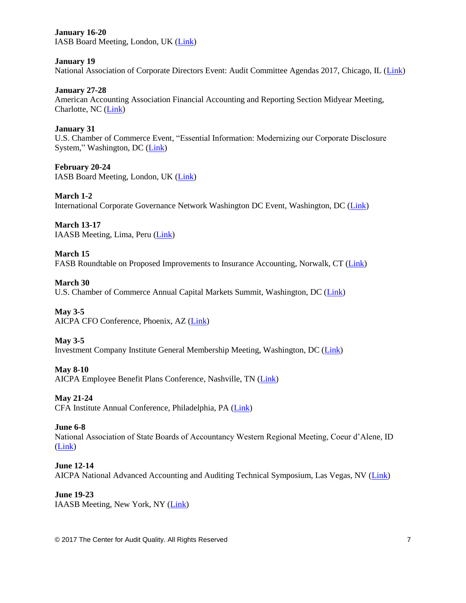**January 16-20** IASB Board Meeting, London, UK [\(Link\)](http://www.ifrs.org/Meetings/Pages/IASB-Meeting-January-2017.aspx)

**January 19** National Association of Corporate Directors Event: Audit Committee Agendas 2017, Chicago, IL [\(Link\)](https://chicago.nacdonline.org/Events/EventDetail.cfm?ItemNumber=28524&RDtoken=14941&userID=)

**January 27-28** American Accounting Association Financial Accounting and Reporting Section Midyear Meeting, Charlotte, NC [\(Link\)](http://aaahq.org/Meetings/2017/Financial-Accounting-And-Reporting-Section)

**January 31** U.S. Chamber of Commerce Event, "Essential Information: Modernizing our Corporate Disclosure System," Washington, DC [\(Link\)](http://www.centerforcapitalmarkets.com/event/essential-information-modernizing-our-corporate-disclosure-system/)

**February 20-24** IASB Board Meeting, London, UK [\(Link\)](http://www.ifrs.org/Meetings/Pages/IASB-Meeting-February-2017.aspx)

**March 1-2** International Corporate Governance Network Washington DC Event, Washington, DC [\(Link\)](https://www.icgn.org/events/icgn-washington-dc-event)

**March 13-17** IAASB Meeting, Lima, Peru [\(Link\)](http://www.iaasb.org/meetings/lima-peru)

**March 15** FASB Roundtable on Proposed Improvements to Insurance Accounting, Norwalk, CT [\(Link\)](http://www.fasb.org/jsp/FASB/Page/SectionPage&cid=1218220079452)

**March 30** U.S. Chamber of Commerce Annual Capital Markets Summit, Washington, DC [\(Link\)](http://www.centerforcapitalmarkets.com/event/11th-annual-capital-markets-summit/)

**May 3-5** AICPA CFO Conference, Phoenix, AZ [\(Link\)](http://www.aicpastore.com/AST/Main/CPA2BIZ_Primary/Accounting/PRDOVR~PC-CFO/PC-CFO.jsp)

**May 3-5** Investment Company Institute General Membership Meeting, Washington, DC [\(Link\)](https://www.ici.org/events)

**May 8-10** AICPA Employee Benefit Plans Conference, Nashville, TN [\(Link\)](http://www.aicpastore.com/EmployeeBenefitPlans/aicpa-employee-benefit-plans-conference/PRDOVR~PC-EMPBEN/PC-EMPBEN.jsp)

**May 21-24** CFA Institute Annual Conference, Philadelphia, PA [\(Link\)](https://www.cfainstitute.org/learning/events/Pages/05212017_121269.aspx)

**June 6-8**

National Association of State Boards of Accountancy Western Regional Meeting, Coeur d'Alene, ID [\(Link\)](https://www.nasba.org/blog/2011/01/26/2017westernregional/)

**June 12-14** AICPA National Advanced Accounting and Auditing Technical Symposium, Las Vegas, NV [\(Link\)](http://www.aicpastore.com/AST/Main/CPA2BIZ_Primary/AuditAttest/PRDOVR~PC-NAA/PC-NAA.jsp)

**June 19-23** IAASB Meeting, New York, NY [\(Link\)](http://www.iaasb.org/meetings/new-york-usa-15)

© 2017 The Center for Audit Quality. All Rights Reserved 7